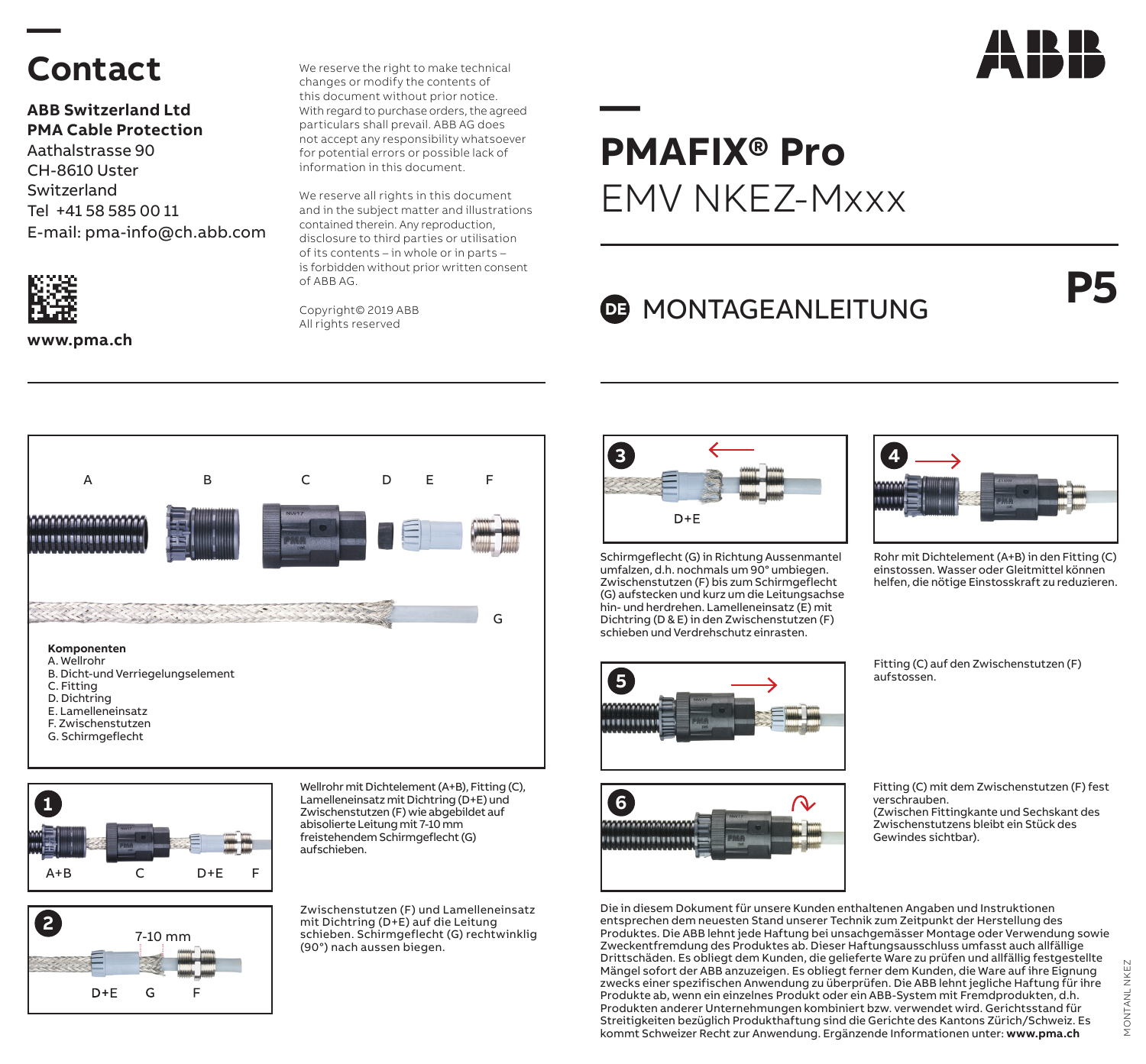## **Contact**

**—** 

**ABB Switzerland Ltd PMA Cable Protection** Aathalstrasse 90 CH-8610 Uster Switzerland Tel +41 58 585 00 11 E-mail: pma-info@ch.abb.com



**www.pma.ch**

We reserve the right to make technical changes or modify the contents of this document without prior notice. With regard to purchase orders, the agreed particulars shall prevail. ABB AG does not accept any responsibility whatsoever for potential errors or possible lack of information in this document.

We reserve all rights in this document and in the subject matter and illustrations contained therein. Any reproduction, disclosure to third parties or utilisation of its contents – in whole or in parts – is forbidden without prior written consent of ABB AG.

Copyright© 2019 ABB All rights reserved



## **DE MONTAGEANLEITUNG**





**2** 7-10 mm  $D+E$ G E

Wellrohr mit Dichtelement (A+B), Fitting (C), Lamelleneinsatz mit Dichtring (D+E) und Zwischenstutzen (F) wie abgebildet auf abisolierte Leitung mit 7-10 mm freistehendem Schirmgeflecht (G) aufschieben.

Zwischenstutzen (F) und Lamelleneinsatz mit Dichtring (D+E) auf die Leitung schieben. Schirmgeflecht (G) rechtwinklig (90°) nach aussen biegen.



Schirmgeflecht (G) in Richtung Aussenmantel umfalzen, d.h. nochmals um 90° umbiegen. Zwischenstutzen (F) bis zum Schirmgeflecht (G) aufstecken und kurz um die Leitungsachse hin- und herdrehen. Lamelleneinsatz (E) mit Dichtring (D & E) in den Zwischenstutzen (F) schieben und Verdrehschutz einrasten.







Rohr mit Dichtelement (A+B) in den Fitting (C) einstossen. Wasser oder Gleitmittel können helfen, die nötige Einstosskraft zu reduzieren.

Fitting (C) auf den Zwischenstutzen (F) aufstossen.

Fitting (C) mit dem Zwischenstutzen (F) fest verschrauben. (Zwischen Fittingkante und Sechskant des Zwischenstutzens bleibt ein Stück des Gewindes sichtbar).

MONTANL NKEZ

MONTANL

 $rac{\overline{x}}{2}$ 

Die in diesem Dokument für unsere Kunden enthaltenen Angaben und Instruktionen entsprechen dem neuesten Stand unserer Technik zum Zeitpunkt der Herstellung des Produktes. Die ABB lehnt jede Haftung bei unsachgemässer Montage oder Verwendung sowie Zweckentfremdung des Produktes ab. Dieser Haftungsausschluss umfasst auch allfällige Drittschäden. Es obliegt dem Kunden, die gelieferte Ware zu prüfen und allfällig festgestellte Mängel sofort der ABB anzuzeigen. Es obliegt ferner dem Kunden, die Ware auf ihre Eignung zwecks einer spezifischen Anwendung zu überprüfen. Die ABB lehnt jegliche Haftung für ihre Produkte ab, wenn ein einzelnes Produkt oder ein ABB-System mit Fremdprodukten, d.h. Produkten anderer Unternehmungen kombiniert bzw. verwendet wird. Gerichtsstand für Streitigkeiten bezüglich Produkthaftung sind die Gerichte des Kantons Zürich/Schweiz. Es kommt Schweizer Recht zur Anwendung. Ergänzende Informationen unter: **www.pma.ch**